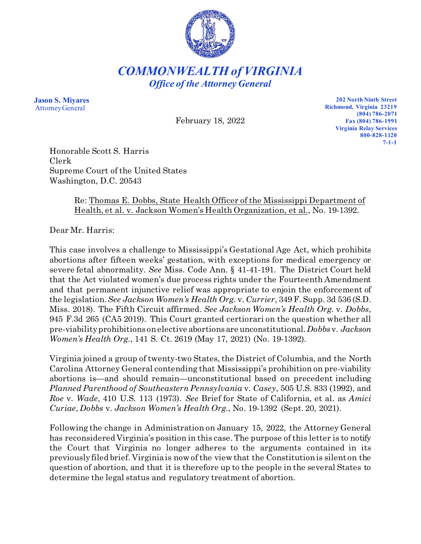

*COMMONWEALTH of VIRGINIA Office of the Attorney General*

**Jason S. Miyares** Attorney General

February 18, 2022

**202 North Ninth Street Richmond, Virginia 23219 (804) 786-2071 Fax (804) 786-1991 Virginia Relay Services 800-828-1120 7-1-1**

Honorable Scott S. Harris Clerk Supreme Court of the United States Washington, D.C. 20543

## Re: Thomas E. Dobbs, State Health Officer of the Mississippi Department of Health, et al. v. Jackson Women's Health Organization, et al., No. 19-1392.

Dear Mr. Harris:

This case involves a challenge to Mississippi's Gestational Age Act, which prohibits abortions after fifteen weeks' gestation, with exceptions for medical emergency or severe fetal abnormality. *See* Miss. Code Ann. § 41-41-191. The District Court held that the Act violated women's due process rights under the Fourteenth Amendment and that permanent injunctive relief was appropriate to enjoin the enforcement of the legislation. *See Jackson Women's Health Org.* v. *Currier*, 349 F. Supp. 3d 536 (S.D. Miss. 2018). The Fifth Circuit affirmed. *See Jackson Women's Health Org.* v. *Dobbs*, 945 F.3d 265 (CA5 2019). This Court granted certiorari on the question whether all pre-viability prohibitions on elective abortions are unconstitutional. *Dobbs* v. *Jackson Women's Health Org.*, 141 S. Ct. 2619 (May 17, 2021) (No. 19-1392).

Virginia joined a group of twenty-two States, the District of Columbia, and the North Carolina Attorney General contending that Mississippi's prohibition on pre-viability abortions is—and should remain—unconstitutional based on precedent including *Planned Parenthood of Southeastern Pennsylvania* v. *Casey*, 505 U.S. 833 (1992), and *Roe* v. *Wade*, 410 U.S. 113 (1973). *See* Brief for State of California, et al. as *Amici Curiae*, *Dobbs* v. *Jackson Women's Health Org.*, No. 19-1392 (Sept. 20, 2021).

Following the change in Administration on January 15, 2022, the Attorney General has reconsidered Virginia's position in this case. The purpose of this letter is to notify the Court that Virginia no longer adheres to the arguments contained in its previously filed brief. Virginia is now of the view that the Constitution is silent on the question of abortion, and that it is therefore up to the people in the several States to determine the legal status and regulatory treatment of abortion.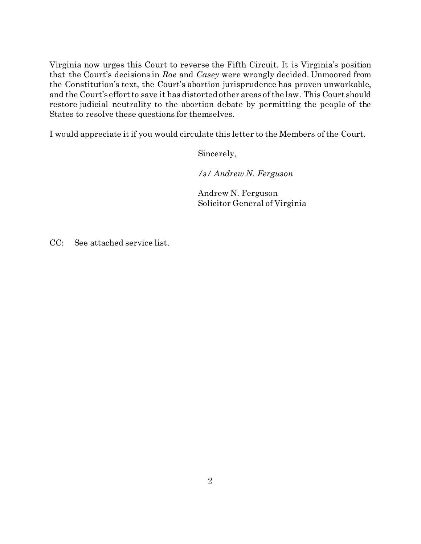Virginia now urges this Court to reverse the Fifth Circuit. It is Virginia's position that the Court's decisions in *Roe* and *Casey* were wrongly decided. Unmoored from the Constitution's text, the Court's abortion jurisprudence has proven unworkable, and the Court's effort to save it has distorted other areas of the law. This Court should restore judicial neutrality to the abortion debate by permitting the people of the States to resolve these questions for themselves.

I would appreciate it if you would circulate this letter to the Members of the Court.

Sincerely,

*/s/ Andrew N. Ferguson*

Andrew N. Ferguson Solicitor General of Virginia

CC: See attached service list.